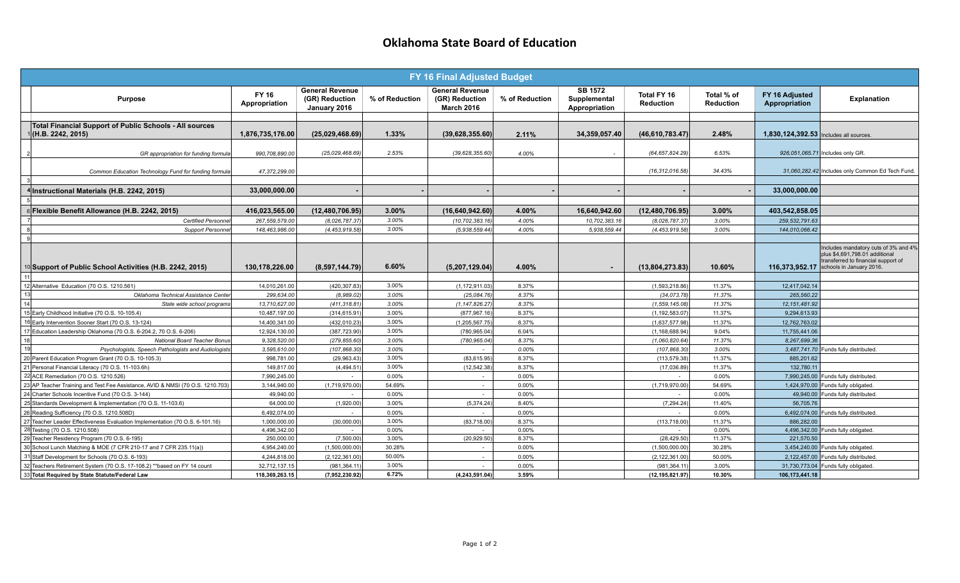## **Oklahoma State Board of Education**

| FY 16 Final Adjusted Budget |                                                                                                                              |                               |                                                          |                 |                                                               |                |                                                 |                                  |                         |                                         |                                                                                                                                                          |
|-----------------------------|------------------------------------------------------------------------------------------------------------------------------|-------------------------------|----------------------------------------------------------|-----------------|---------------------------------------------------------------|----------------|-------------------------------------------------|----------------------------------|-------------------------|-----------------------------------------|----------------------------------------------------------------------------------------------------------------------------------------------------------|
|                             | <b>Purpose</b>                                                                                                               | FY 16<br>Appropriation        | <b>General Revenue</b><br>(GR) Reduction<br>January 2016 | % of Reduction  | <b>General Revenue</b><br>(GR) Reduction<br><b>March 2016</b> | % of Reduction | <b>SB 1572</b><br>Supplemental<br>Appropriation | Total FY 16<br><b>Reduction</b>  | Total % of<br>Reduction | FY 16 Adjusted<br>Appropriation         | <b>Explanation</b>                                                                                                                                       |
|                             |                                                                                                                              |                               |                                                          |                 |                                                               |                |                                                 |                                  |                         |                                         |                                                                                                                                                          |
|                             | Total Financial Support of Public Schools - All sources<br>(H.B. 2242, 2015)                                                 | 1,876,735,176.00              | (25,029,468.69)                                          | 1.33%           | (39,628,355.60)                                               | 2.11%          | 34,359,057.40                                   | (46, 610, 783.47)                | 2.48%                   | 1,830,124,392.53  Includes all sources. |                                                                                                                                                          |
|                             | GR appropriation for funding formula                                                                                         | 990,708,890.00                | (25,029,468.69)                                          | 2.53%           | (39, 628, 355.60)                                             | 4.00%          |                                                 | (64, 657, 824.29)                | 6.53%                   |                                         | 926,051,065.71 Includes only GR.                                                                                                                         |
| $\mathbf{3}$                | Common Education Technology Fund for funding formula                                                                         | 47,372,299.00                 |                                                          |                 |                                                               |                |                                                 | (16, 312, 016.58)                | 34.43%                  |                                         | 31,060,282.42 Includes only Common Ed Tech Fund.                                                                                                         |
|                             |                                                                                                                              | 33,000,000.00                 |                                                          |                 |                                                               |                |                                                 |                                  |                         | 33,000,000.00                           |                                                                                                                                                          |
| $\overline{5}$              | 4 Instructional Materials (H.B. 2242, 2015)                                                                                  |                               |                                                          |                 |                                                               |                |                                                 |                                  |                         |                                         |                                                                                                                                                          |
|                             | 6 Flexible Benefit Allowance (H.B. 2242, 2015)                                                                               | 416,023,565.00                | (12, 480, 706.95)                                        | 3.00%           | (16,640,942.60)                                               | 4.00%          | 16,640,942.60                                   | (12, 480, 706.95)                | 3.00%                   | 403,542,858.05                          |                                                                                                                                                          |
|                             | Certified Personne                                                                                                           | 267,559,579.00                | (8,026,787.37                                            | 3.00%           | (10, 702, 383, 16)                                            | 4.00%          | 10,702,383.16                                   | (8,026,787.37                    | 3.00%                   | 259, 532, 791.63                        |                                                                                                                                                          |
|                             | <b>Support Personne</b>                                                                                                      | 148.463.986.00                | (4.453.919.58                                            | 3.00%           | (5.938.559.44)                                                | 4.00%          | 5.938.559.44                                    | (4.453.919.58)                   | 3.00%                   | 144,010,066.42                          |                                                                                                                                                          |
| 9                           |                                                                                                                              |                               |                                                          |                 |                                                               |                |                                                 |                                  |                         |                                         |                                                                                                                                                          |
|                             | <sup>10</sup> Support of Public School Activities (H.B. 2242, 2015)                                                          | 130,178,226.00                | (8,597,144.79)                                           | 6.60%           | (5,207,129.04)                                                | 4.00%          | $\blacksquare$                                  | (13,804,273.83)                  | 10.60%                  |                                         | Includes mandatory cuts of 3% and 4%<br>plus \$4,691,798.01 additional<br>transferred to financial support of<br>116,373,952.17 Schools in January 2016. |
| 11                          |                                                                                                                              |                               |                                                          |                 |                                                               |                |                                                 |                                  |                         |                                         |                                                                                                                                                          |
|                             | 12 Alternative Education (70 O.S. 1210.561)                                                                                  | 14,010,261.00                 | (420,307.83                                              | 3.00%           | (1, 172, 911.03)                                              | 8.37%          |                                                 | (1,593,218.86                    | 11.37%                  | 12,417,042.14                           |                                                                                                                                                          |
| 13                          | Oklahoma Technical Assistance Center                                                                                         | 299,634.00                    | (8,989.02)                                               | 3.00%           | (25,084.76)                                                   | 8.37%          |                                                 | (34.073.78)                      | 11.37%                  | 265,560.22                              |                                                                                                                                                          |
| 14                          | State wide school programs                                                                                                   | 13,710,627.00                 | (411, 318.81                                             | 3.00%           | (1, 147, 826.27)                                              | 8.37%          |                                                 | (1.559.145.08)                   | 11.37%                  | 12, 151, 481.92                         |                                                                                                                                                          |
|                             | 15 Early Childhood Initiative (70 O.S. 10-105.4)                                                                             | 10,487,197.00                 | (314, 615.91)                                            | 3.00%           | (877,967.16                                                   | 8.37%          |                                                 | (1, 192, 583.07                  | 11.37%                  | 9,294,613.93                            |                                                                                                                                                          |
|                             | 16 Early Intervention Sooner Start (70 O.S. 13-124)                                                                          | 14,400,341.00                 | (432,010.23                                              | 3.00%           | (1, 205, 567.75)                                              | 8.37%          |                                                 | (1,637,577.98)                   | 11.37%                  | 12,762,763.02                           |                                                                                                                                                          |
|                             | 17 Education Leadership Oklahoma (70 O.S. 6-204.2, 70 O.S. 6-206)                                                            | 12,924,130.00                 | (387,723.90                                              | 3.00%           | (780, 965.04)                                                 | 6.04%          |                                                 | (1, 168, 688.94)                 | 9.04%                   | 11,755,441.06                           |                                                                                                                                                          |
| 18                          | <b>National Board Teacher Bonus</b>                                                                                          | 9,328,520.00                  | (279,855.60                                              | 3.00%           | (780,965.04)                                                  | 8.37%          |                                                 | (1,060,820.64)                   | 11.37%                  | 8,267,699.36                            |                                                                                                                                                          |
| 19                          | Psychologists, Speech Pathologists and Audiologists                                                                          | 3,595,610.00                  | (107,868.30                                              | 3.00%           |                                                               | 0.00%          |                                                 | (107,868.30)                     | 3.00%                   |                                         | 3,487,741.70 Funds fully distributed.                                                                                                                    |
|                             | 20 Parent Education Program Grant (70 O.S. 10-105.3)                                                                         | 998,781.00                    | (29,963.43)                                              | 3.00%           | (83, 615.95)                                                  | 8.37%          |                                                 | (113,579.38)                     | 11.37%                  | 885,201.62                              |                                                                                                                                                          |
|                             | 21 Personal Financial Literacy (70 O.S. 11-103.6h)                                                                           | 149,817.00                    | (4, 494.51)                                              | 3.00%           | (12, 542.38)                                                  | 8.37%          |                                                 | (17,036.89)                      | 11.37%                  | 132.780.11                              |                                                                                                                                                          |
|                             | 22 ACE Remediation (70 O.S. 1210.526)                                                                                        | 7,990,245.00                  |                                                          | 0.00%           | $\sim$                                                        | 0.00%          |                                                 |                                  | 0.00%                   | 7,990,245.00                            | Funds fully distributed.                                                                                                                                 |
|                             | 23 AP Teacher Training and Test Fee Assistance, AVID & NMSI (70 O.S. 1210.703)                                               | 3.144.940.00                  | (1,719,970.00                                            | 54.69%          | $\sim$                                                        | 0.00%          |                                                 | (1,719,970.00)                   | 54.69%                  |                                         | 1,424,970.00 Funds fully obligated.                                                                                                                      |
|                             | 24 Charter Schools Incentive Fund (70 O.S. 3-144)                                                                            | 49.940.00                     | $\sim$                                                   | $0.00\%$        | $\sim$                                                        | 0.00%          |                                                 |                                  | 0.00%                   | 49.940.00                               | Funds fully distributed.                                                                                                                                 |
|                             | 25 Standards Development & Implementation (70 O.S. 11-103.6)                                                                 | 64,000.00                     | (1,920.00)                                               | 3.00%           | (5,374.24)                                                    | 8.40%          |                                                 | (7, 294.24)                      | 11.40%                  | 56,705.76                               |                                                                                                                                                          |
|                             | 26 Reading Sufficiency (70 O.S. 1210.508D)                                                                                   | 6,492,074.00                  |                                                          | $0.00\%$        |                                                               | 0.00%          |                                                 |                                  | 0.00%                   |                                         | 6,492,074.00 Funds fully distributed.                                                                                                                    |
|                             | 27 Teacher Leader Effectiveness Evaluation Implementation (70 O.S. 6-101.16)                                                 | 1.000.000.00                  | (30,000.00)                                              | 3.00%           | (83,718.00)                                                   | 8.37%          |                                                 | (113,718.00                      | 11.37%                  | 886,282.00                              |                                                                                                                                                          |
|                             | 28 Testing (70 O.S. 1210.508)                                                                                                | 4,496,342.00                  |                                                          | 0.00%           | $\sim$                                                        | 0.00%          |                                                 |                                  | 0.00%                   |                                         | 4,496,342.00 Funds fully obligated.                                                                                                                      |
|                             | 29 Teacher Residency Program (70 O.S. 6-195)                                                                                 | 250,000.00                    | (7,500.00)                                               | 3.00%<br>30.28% | (20, 929.50)                                                  | 8.37%          |                                                 | (28, 429.50)                     | 11.37%                  | 221,570.50                              |                                                                                                                                                          |
|                             | 30 School Lunch Matching & MOE (7 CFR 210-17 and 7 CFR 235.11(a))                                                            | 4,954,240.00                  | (1,500,000.00)                                           | 50.00%          | $\sim$<br>$\sim$                                              | 0.00%          |                                                 | (1,500,000.00)                   | 30.28%                  |                                         | 3,454,240.00 Funds fully obligated.                                                                                                                      |
|                             | 31 Staff Development for Schools (70 O.S. 6-193)<br>32 Teachers Retirement System (70 O.S. 17-108.2) ** based on FY 14 count | 4,244,818.00<br>32,712,137.15 | (2, 122, 361.00)<br>(981,364.11                          | 3.00%           | $\sim$                                                        | 0.00%<br>0.00% |                                                 | (2, 122, 361.00)<br>(981,364.11) | 50.00%<br>3.00%         |                                         | 2,122,457.00 Funds fully distributed.<br>31,730,773.04 Funds fully obligated.                                                                            |
|                             | 33 Total Required by State Statute/Federal Law                                                                               | 118,369,263.15                | (7,952,230.92)                                           | 6.72%           | (4, 243, 591.04)                                              | 3.59%          |                                                 | (12, 195, 821.97)                | 10.30%                  | 106, 173, 441. 18                       |                                                                                                                                                          |